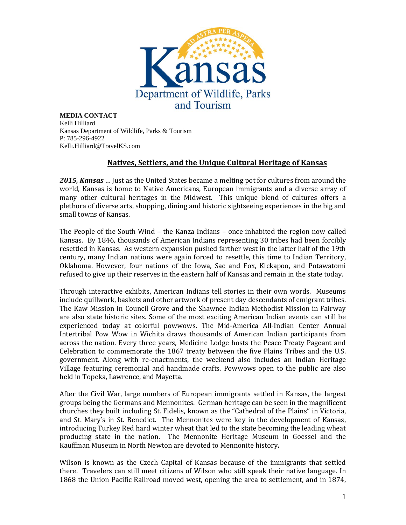

**MEDIA CONTACT** Kelli Hilliard Kansas Department of Wildlife, Parks & Tourism P: 785-296-4922 Kelli.Hilliard@TravelKS.com

## **Natives, Settlers, and the Unique Cultural Heritage of Kansas**

*2015, Kansas* … Just as the United States became a melting pot for cultures from around the world, Kansas is home to Native Americans, European immigrants and a diverse array of many other cultural heritages in the Midwest. This unique blend of cultures offers a plethora of diverse arts, shopping, dining and historic sightseeing experiences in the big and small towns of Kansas.

The People of the South Wind – the Kanza Indians – once inhabited the region now called Kansas. By 1846, thousands of American Indians representing 30 tribes had been forcibly resettled in Kansas. As western expansion pushed farther west in the latter half of the 19th century, many Indian nations were again forced to resettle, this time to Indian Territory, Oklahoma. However, four nations of the Iowa, Sac and Fox, Kickapoo, and Potawatomi refused to give up their reserves in the eastern half of Kansas and remain in the state today.

Through interactive exhibits, American Indians tell stories in their own words. Museums include quillwork, baskets and other artwork of present day descendants of emigrant tribes. The Kaw Mission in Council Grove and the Shawnee Indian Methodist Mission in Fairway are also state historic sites. Some of the most exciting American Indian events can still be experienced today at colorful powwows. The Mid-America All-Indian Center Annual Intertribal Pow Wow in Wichita draws thousands of American Indian participants from across the nation. Every three years, Medicine Lodge hosts the Peace Treaty Pageant and Celebration to commemorate the 1867 treaty between the five Plains Tribes and the U.S. government. Along with re-enactments, the weekend also includes an Indian Heritage Village featuring ceremonial and handmade crafts. Powwows open to the public are also held in Topeka, Lawrence, and Mayetta.

After the Civil War, large numbers of European immigrants settled in Kansas, the largest groups being the Germans and Mennonites. German heritage can be seen in the magnificent churches they built including St. Fidelis, known as the "Cathedral of the Plains" in Victoria, and St. Mary's in St. Benedict. The Mennonites were key in the development of Kansas, introducing Turkey Red hard winter wheat that led to the state becoming the leading wheat producing state in the nation. The Mennonite Heritage Museum in Goessel and the Kauffman Museum in North Newton are devoted to Mennonite history**.**

Wilson is known as the Czech Capital of Kansas because of the immigrants that settled there. Travelers can still meet citizens of Wilson who still speak their native language. In 1868 the Union Pacific Railroad moved west, opening the area to settlement, and in 1874,